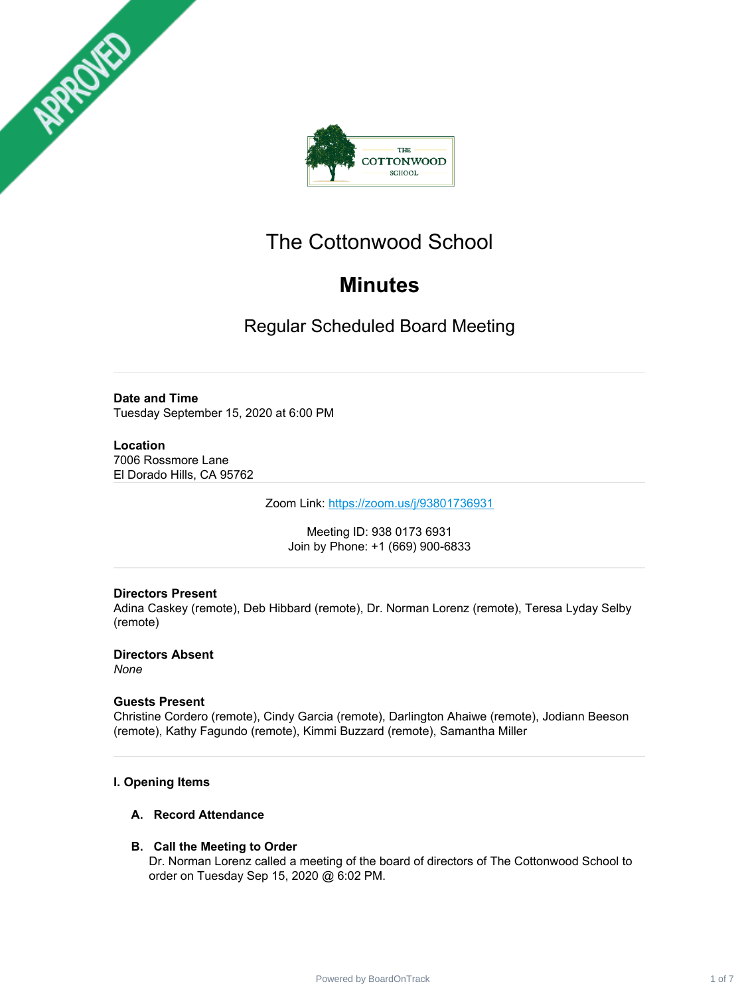



# The Cottonwood School

# **Minutes**

Regular Scheduled Board Meeting

**Date and Time** Tuesday September 15, 2020 at 6:00 PM

**Location** 7006 Rossmore Lane El Dorado Hills, CA 95762

Zoom Link: <https://zoom.us/j/93801736931>

Meeting ID: 938 0173 6931 Join by Phone: +1 (669) 900-6833

# **Directors Present**

Adina Caskey (remote), Deb Hibbard (remote), Dr. Norman Lorenz (remote), Teresa Lyday Selby (remote)

**Directors Absent** *None*

# **Guests Present**

Christine Cordero (remote), Cindy Garcia (remote), Darlington Ahaiwe (remote), Jodiann Beeson (remote), Kathy Fagundo (remote), Kimmi Buzzard (remote), Samantha Miller

# **I. Opening Items**

# **A. Record Attendance**

# **B. Call the Meeting to Order**

Dr. Norman Lorenz called a meeting of the board of directors of The Cottonwood School to order on Tuesday Sep 15, 2020 @ 6:02 PM.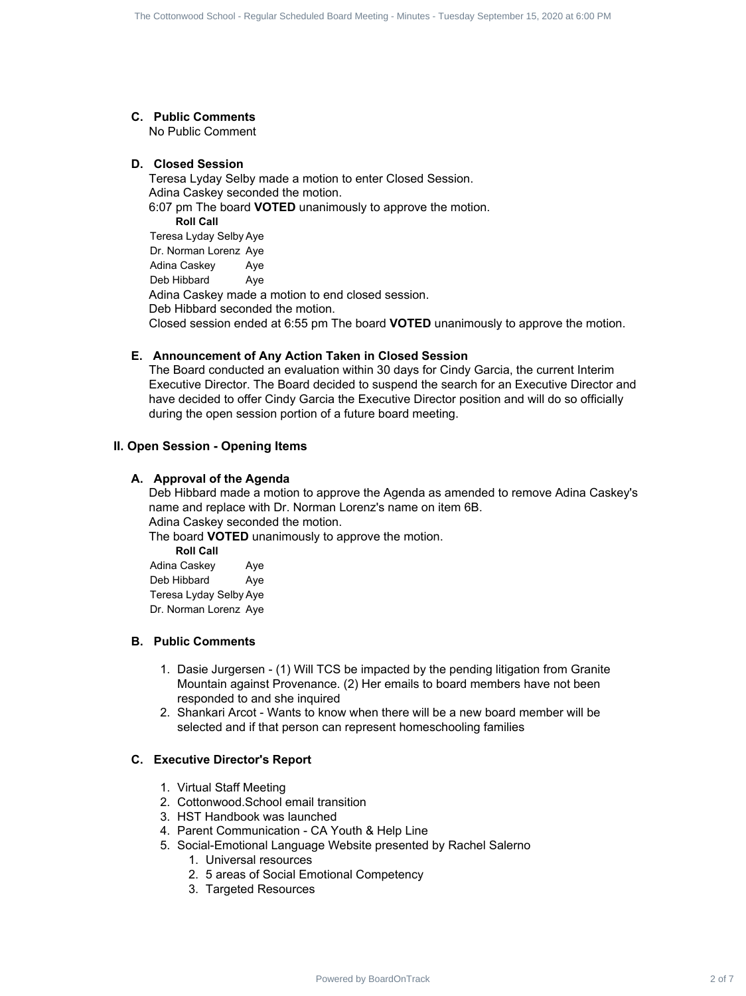#### **C. Public Comments**

No Public Comment

#### **D. Closed Session**

Teresa Lyday Selby made a motion to enter Closed Session. Adina Caskey seconded the motion. 6:07 pm The board **VOTED** unanimously to approve the motion. **Roll Call** Teresa Lyday Selby Aye Dr. Norman Lorenz Aye Adina Caskey Aye Deb Hibbard Ave Adina Caskey made a motion to end closed session. Deb Hibbard seconded the motion. Closed session ended at 6:55 pm The board **VOTED** unanimously to approve the motion. The Contents of Regular School - Regular Schedule and The Contents Contents 2 of 7 The Contents of Contents 2 of 7 The Contents of Contents 2 of 7 The Contents of Contents and Contents of Contents and Contents of School -

#### **E. Announcement of Any Action Taken in Closed Session**

The Board conducted an evaluation within 30 days for Cindy Garcia, the current Interim Executive Director. The Board decided to suspend the search for an Executive Director and have decided to offer Cindy Garcia the Executive Director position and will do so officially during the open session portion of a future board meeting.

## **II. Open Session - Opening Items**

#### **A. Approval of the Agenda**

Deb Hibbard made a motion to approve the Agenda as amended to remove Adina Caskey's name and replace with Dr. Norman Lorenz's name on item 6B. Adina Caskey seconded the motion.

The board **VOTED** unanimously to approve the motion.

**Roll Call** Adina Caskey Aye Deb Hibbard Aye Teresa Lyday Selby Aye Dr. Norman Lorenz Aye

## **B. Public Comments**

- 1. Dasie Jurgersen (1) Will TCS be impacted by the pending litigation from Granite Mountain against Provenance. (2) Her emails to board members have not been responded to and she inquired
- 2. Shankari Arcot Wants to know when there will be a new board member will be selected and if that person can represent homeschooling families

#### **C. Executive Director's Report**

- 1. Virtual Staff Meeting
- 2. Cottonwood.School email transition
- 3. HST Handbook was launched
- 4. Parent Communication CA Youth & Help Line
- 5. Social-Emotional Language Website presented by Rachel Salerno
	- 1. Universal resources
	- 2. 5 areas of Social Emotional Competency
	- 3. Targeted Resources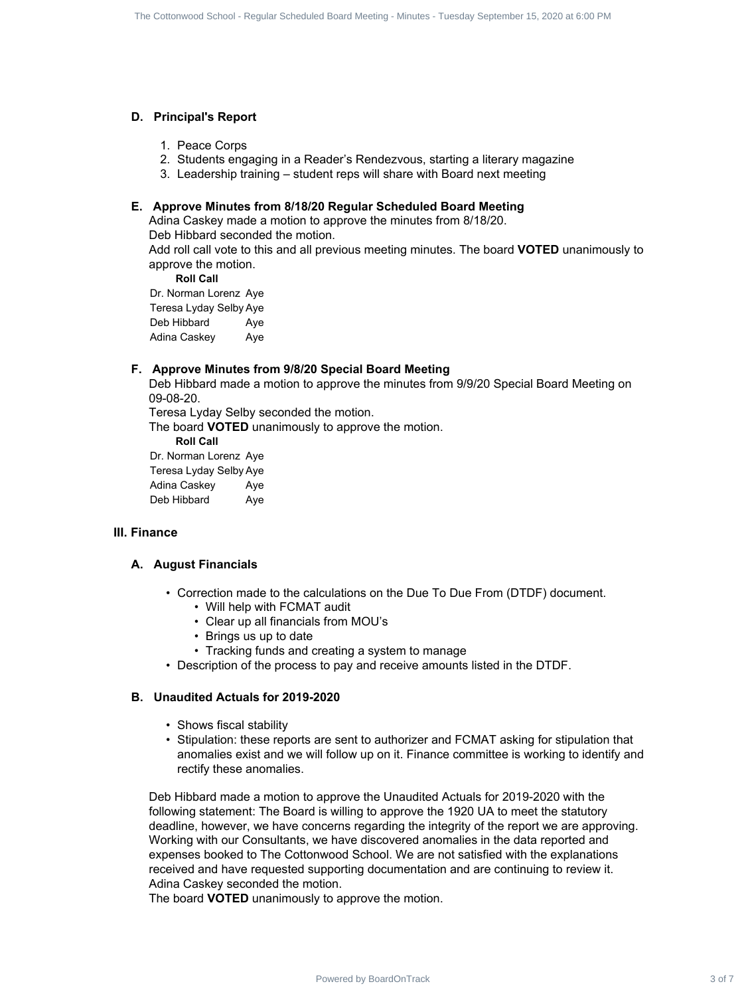## **D. Principal's Report**

- 1. Peace Corps
- 2. Students engaging in a Reader's Rendezvous, starting a literary magazine
- 3. Leadership training student reps will share with Board next meeting

# **E. Approve Minutes from 8/18/20 Regular Scheduled Board Meeting**

Adina Caskey made a motion to approve the minutes from 8/18/20.

Deb Hibbard seconded the motion.

Add roll call vote to this and all previous meeting minutes. The board **VOTED** unanimously to approve the motion.

**Roll Call**

Dr. Norman Lorenz Aye Teresa Lyday Selby Aye Deb Hibbard Aye Adina Caskey Aye

# **F. Approve Minutes from 9/8/20 Special Board Meeting**

Deb Hibbard made a motion to approve the minutes from 9/9/20 Special Board Meeting on 09-08-20.

Teresa Lyday Selby seconded the motion.

The board **VOTED** unanimously to approve the motion.

**Roll Call**

Dr. Norman Lorenz Aye Teresa Lyday Selby Aye Adina Caskey Ave Deb Hibbard Aye

#### **III. Finance**

#### **A. August Financials**

- Correction made to the calculations on the Due To Due From (DTDF) document.
	- Will help with FCMAT audit
	- Clear up all financials from MOU's
	- Brings us up to date
	- Tracking funds and creating a system to manage
- Description of the process to pay and receive amounts listed in the DTDF.

#### **B. Unaudited Actuals for 2019-2020**

- Shows fiscal stability
- Stipulation: these reports are sent to authorizer and FCMAT asking for stipulation that anomalies exist and we will follow up on it. Finance committee is working to identify and rectify these anomalies.

Deb Hibbard made a motion to approve the Unaudited Actuals for 2019-2020 with the following statement: The Board is willing to approve the 1920 UA to meet the statutory deadline, however, we have concerns regarding the integrity of the report we are approving. Working with our Consultants, we have discovered anomalies in the data reported and expenses booked to The Cottonwood School. We are not satisfied with the explanations received and have requested supporting documentation and are continuing to review it. Adina Caskey seconded the motion. The Content School - To the Content 3 of The Content 3 of 7 The Content 3 of 7 The Content 3 of 7 The Content 3 of 7 The Content 3 of 7 The Content 3 of 7 The Content 3 of 7 The Content 3 of 7 The Content 3 of 7 The Conte

The board **VOTED** unanimously to approve the motion.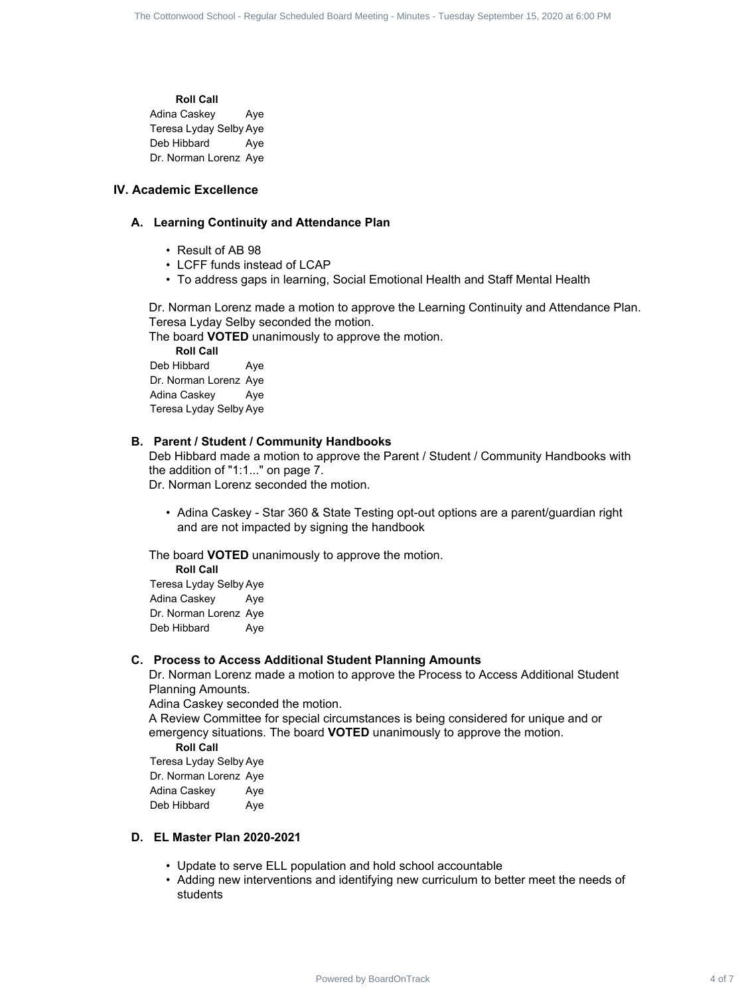**Roll Call** Adina Caskey Aye Teresa Lyday Selby Aye Deb Hibbard Aye Dr. Norman Lorenz Aye

## **IV. Academic Excellence**

#### **A. Learning Continuity and Attendance Plan**

- Result of AB 98
- LCFF funds instead of LCAP
- To address gaps in learning, Social Emotional Health and Staff Mental Health

Dr. Norman Lorenz made a motion to approve the Learning Continuity and Attendance Plan. Teresa Lyday Selby seconded the motion.

The board **VOTED** unanimously to approve the motion.

**Roll Call** Deb Hibbard Aye Dr. Norman Lorenz Aye Adina Caskey Aye Teresa Lyday Selby Aye

#### **B. Parent / Student / Community Handbooks**

Deb Hibbard made a motion to approve the Parent / Student / Community Handbooks with the addition of "1:1..." on page 7. The Cottonwood School - And Cottonwood School - Regular Scheduled Board - Regular School - Regular School - Regular Scheduled Board - Regular School - Regular Scheduled Board Meeting - Minutes - Tuesday September 15, 2020

Dr. Norman Lorenz seconded the motion.

• Adina Caskey - Star 360 & State Testing opt-out options are a parent/guardian right and are not impacted by signing the handbook

The board **VOTED** unanimously to approve the motion.

**Roll Call** Teresa Lyday Selby Aye Adina Caskey Aye Dr. Norman Lorenz Aye Deb Hibbard Aye

#### **C. Process to Access Additional Student Planning Amounts**

Dr. Norman Lorenz made a motion to approve the Process to Access Additional Student Planning Amounts.

Adina Caskey seconded the motion.

A Review Committee for special circumstances is being considered for unique and or emergency situations. The board **VOTED** unanimously to approve the motion.

**Roll Call**

Teresa Lyday Selby Aye Dr. Norman Lorenz Aye Adina Caskey Aye Deb Hibbard Ave

#### **D. EL Master Plan 2020-2021**

- Update to serve ELL population and hold school accountable
- Adding new interventions and identifying new curriculum to better meet the needs of students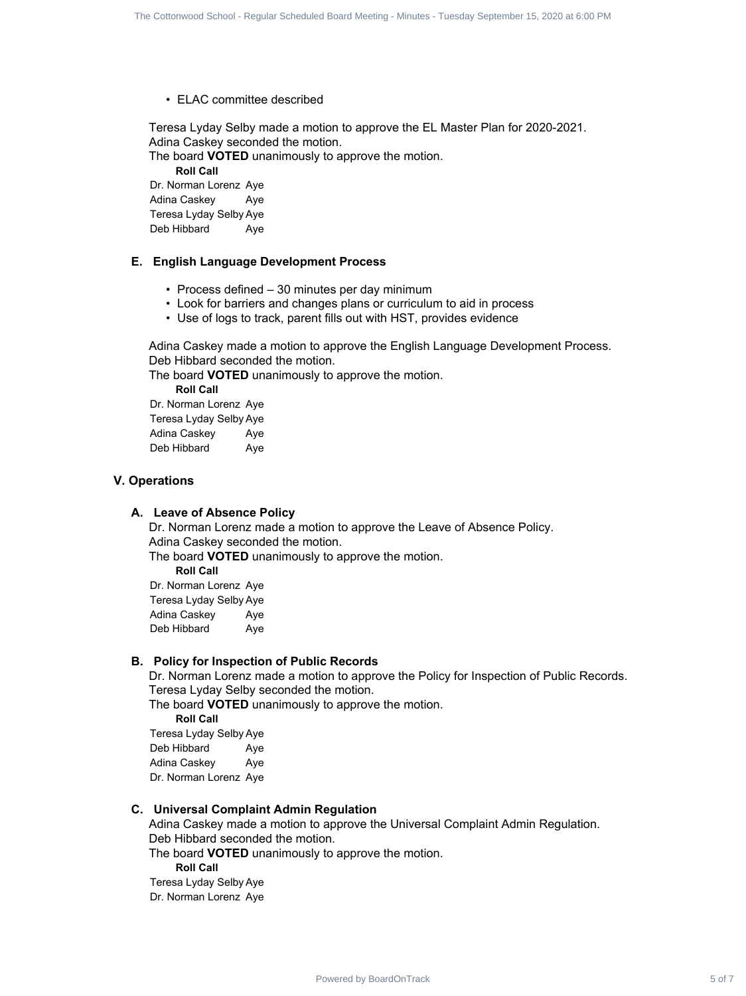• ELAC committee described

Teresa Lyday Selby made a motion to approve the EL Master Plan for 2020-2021. Adina Caskey seconded the motion.

The board **VOTED** unanimously to approve the motion.

**Roll Call**

Dr. Norman Lorenz Aye Adina Caskey Aye Teresa Lyday Selby Aye Deb Hibbard Aye

#### **E. English Language Development Process**

- Process defined 30 minutes per day minimum
- Look for barriers and changes plans or curriculum to aid in process
- Use of logs to track, parent fills out with HST, provides evidence

Adina Caskey made a motion to approve the English Language Development Process. Deb Hibbard seconded the motion.

The board **VOTED** unanimously to approve the motion.

**Roll Call** Dr. Norman Lorenz Aye

Teresa Lyday Selby Aye Adina Caskey Aye Deb Hibbard Ave

#### **V. Operations**

# **A. Leave of Absence Policy**

Dr. Norman Lorenz made a motion to approve the Leave of Absence Policy. Adina Caskey seconded the motion. The board **VOTED** unanimously to approve the motion. **Roll Call** The Content school - Board - Regular School - Regular Schedule Track 5 of 7 Contents 5 of 7 Contents 5 of 7 Contents 5 of 7 Contents 5 of 7 Contents 5 of 7 Contents 1 of 8 of 7 Contents 1 Contents are the Contents of 8 or

Dr. Norman Lorenz Aye Teresa Lyday Selby Aye Adina Caskey Aye Deb Hibbard Ave

#### **B. Policy for Inspection of Public Records**

Dr. Norman Lorenz made a motion to approve the Policy for Inspection of Public Records. Teresa Lyday Selby seconded the motion. The board **VOTED** unanimously to approve the motion.

**Roll Call**

Teresa Lyday Selby Aye Deb Hibbard Aye Adina Caskey Ave Dr. Norman Lorenz Aye

#### **C. Universal Complaint Admin Regulation**

Adina Caskey made a motion to approve the Universal Complaint Admin Regulation. Deb Hibbard seconded the motion.

The board **VOTED** unanimously to approve the motion. **Roll Call** Teresa Lyday Selby Aye Dr. Norman Lorenz Aye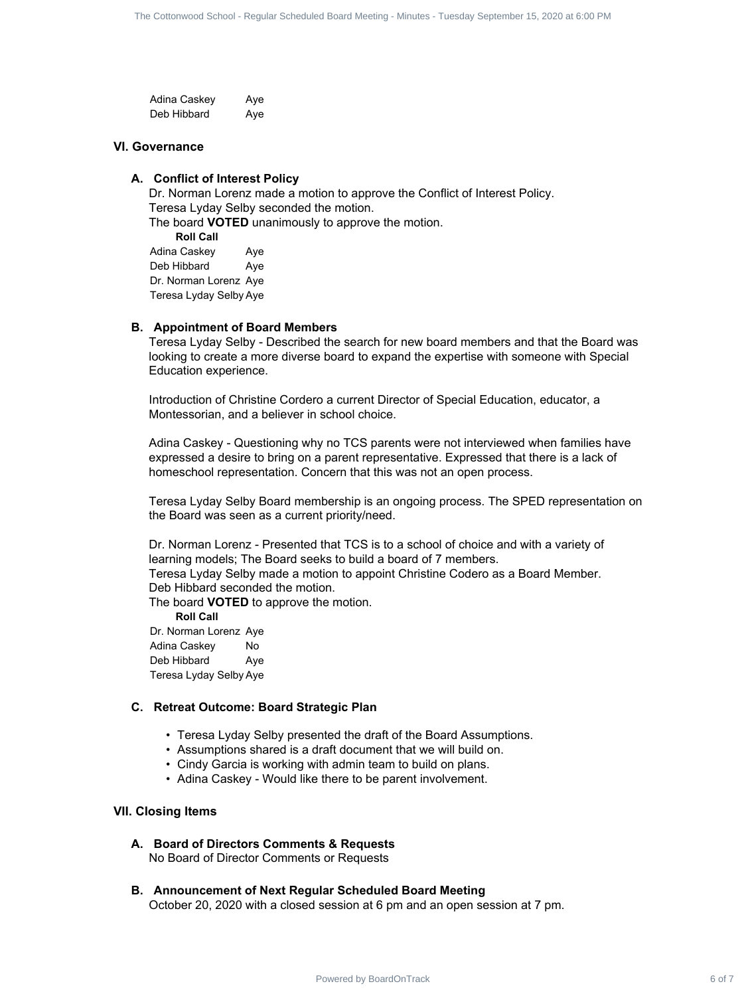Adina Caskey Ave Deb Hibbard Aye

#### **VI. Governance**

## **A. Conflict of Interest Policy**

Dr. Norman Lorenz made a motion to approve the Conflict of Interest Policy. Teresa Lyday Selby seconded the motion. The board **VOTED** unanimously to approve the motion. **Roll Call** Adina Caskey Aye Deb Hibbard Aye Dr. Norman Lorenz Aye Teresa Lyday Selby Aye The Context filters - Superin Estation Context Filters - Tuesday School - Tuesday School - Apple Context 6 of 7 Context 6 of 7 Context 6 of 7 Context 6 of 7 The Context 6 of 7 Context 6 of 7 The Context 6 of 7 The Context

#### **B. Appointment of Board Members**

Teresa Lyday Selby - Described the search for new board members and that the Board was looking to create a more diverse board to expand the expertise with someone with Special Education experience.

Introduction of Christine Cordero a current Director of Special Education, educator, a Montessorian, and a believer in school choice.

Adina Caskey - Questioning why no TCS parents were not interviewed when families have expressed a desire to bring on a parent representative. Expressed that there is a lack of homeschool representation. Concern that this was not an open process.

Teresa Lyday Selby Board membership is an ongoing process. The SPED representation on the Board was seen as a current priority/need.

Dr. Norman Lorenz - Presented that TCS is to a school of choice and with a variety of learning models; The Board seeks to build a board of 7 members. Teresa Lyday Selby made a motion to appoint Christine Codero as a Board Member. Deb Hibbard seconded the motion.

The board **VOTED** to approve the motion.

**Roll Call**

Dr. Norman Lorenz Aye Adina Caskey No Deb Hibbard Aye Teresa Lyday Selby Aye

#### **C. Retreat Outcome: Board Strategic Plan**

- Teresa Lyday Selby presented the draft of the Board Assumptions.
- Assumptions shared is a draft document that we will build on.
- Cindy Garcia is working with admin team to build on plans.
- Adina Caskey Would like there to be parent involvement.

#### **VII. Closing Items**

**A. Board of Directors Comments & Requests**

No Board of Director Comments or Requests

#### **B. Announcement of Next Regular Scheduled Board Meeting**

October 20, 2020 with a closed session at 6 pm and an open session at 7 pm.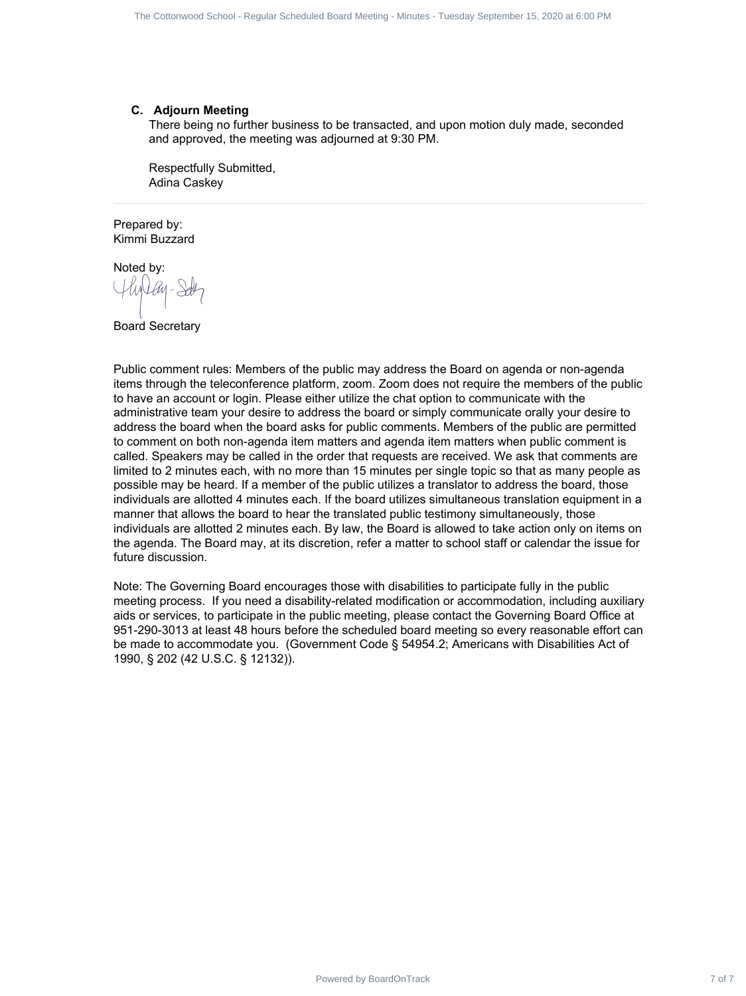#### **C. Adjourn Meeting**

There being no further business to be transacted, and upon motion duly made, seconded and approved, the meeting was adjourned at 9:30 PM.

Respectfully Submitted, Adina Caskey

Prepared by: Kimmi Buzzard

[Noted](https://na2.documents.adobe.com/verifier?tx=CBJCHBCAABAA1obqyQIpQki_SGRdjvb8TqFD7Fe-EyqM) by:

Board Secretary

Public comment rules: Members of the public may address the Board on agenda or non-agenda items through the teleconference platform, zoom. Zoom does not require the members of the public to have an account or login. Please either utilize the chat option to communicate with the administrative team your desire to address the board or simply communicate orally your desire to address the board when the board asks for public comments. Members of the public are permitted to comment on both non-agenda item matters and agenda item matters when public comment is called. Speakers may be called in the order that requests are received. We ask that comments are limited to 2 minutes each, with no more than 15 minutes per single topic so that as many people as possible may be heard. If a member of the public utilizes a translator to address the board, those individuals are allotted 4 minutes each. If the board utilizes simultaneous translation equipment in a manner that allows the board to hear the translated public testimony simultaneously, those individuals are allotted 2 minutes each. By law, the Board is allowed to take action only on items on the agenda. The Board may, at its discretion, refer a matter to school staff or calendar the issue for future discussion. The Cottomast Estate Progress Entertainment Contract 7 of 7 Of 7 The Contract 7 of 7 Of 7 The Contract 7 of 7 Of 7 The Contract 7 Of 7 The Contract 7 of 7 The Contract 7 Of 7 The Contract 7 Of 7 The Contract 7 Of 7 The Co

Note: The Governing Board encourages those with disabilities to participate fully in the public meeting process. If you need a disability-related modification or accommodation, including auxiliary aids or services, to participate in the public meeting, please contact the Governing Board Office at 951-290-3013 at least 48 hours before the scheduled board meeting so every reasonable effort can be made to accommodate you. (Government Code § 54954.2; Americans with Disabilities Act of 1990, § 202 (42 U.S.C. § 12132)).